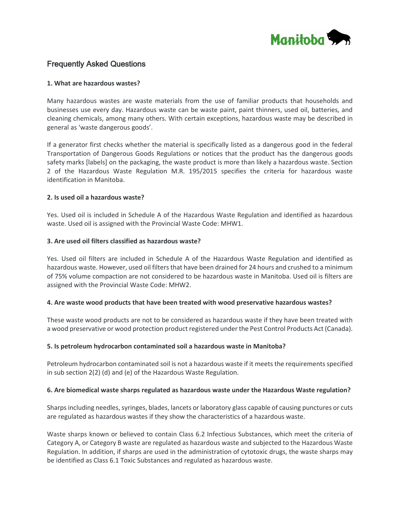

# Frequently Asked Questions

#### **1. What are hazardous wastes?**

Many hazardous wastes are waste materials from the use of familiar products that households and businesses use every day. Hazardous waste can be waste paint, paint thinners, used oil, batteries, and cleaning chemicals, among many others. With certain exceptions, hazardous waste may be described in general as 'waste dangerous goods'.

If a generator first checks whether the material is specifically listed as a dangerous good in the federal Transportation of Dangerous Goods Regulations or notices that the product has the dangerous goods safety marks [labels] on the packaging, the waste product is more than likely a hazardous waste. Section 2 of the Hazardous Waste Regulation M.R. 195/2015 specifies the criteria for hazardous waste identification in Manitoba.

#### **2. Is used oil a hazardous waste?**

Yes. Used oil is included in Schedule A of the Hazardous Waste Regulation and identified as hazardous waste. Used oil is assigned with the Provincial Waste Code: MHW1.

#### **3. Are used oil filters classified as hazardous waste?**

Yes. Used oil filters are included in Schedule A of the Hazardous Waste Regulation and identified as hazardous waste. However, used oil filters that have been drained for 24 hours and crushed to a minimum of 75% volume compaction are not considered to be hazardous waste in Manitoba. Used oil is filters are assigned with the Provincial Waste Code: MHW2.

#### **4. Are waste wood products that have been treated with wood preservative hazardous wastes?**

These waste wood products are not to be considered as hazardous waste if they have been treated with a wood preservative or wood protection product registered under the Pest Control Products Act (Canada).

### **5. Is petroleum hydrocarbon contaminated soil a hazardous waste in Manitoba?**

Petroleum hydrocarbon contaminated soil is not a hazardous waste if it meets the requirements specified in sub section 2(2) (d) and (e) of the Hazardous Waste Regulation.

#### **6. Are biomedical waste sharps regulated as hazardous waste under the Hazardous Waste regulation?**

Sharps including needles, syringes, blades, lancets or laboratory glass capable of causing punctures or cuts are regulated as hazardous wastes if they show the characteristics of a hazardous waste.

Waste sharps known or believed to contain Class 6.2 Infectious Substances, which meet the criteria of Category A, or Category B waste are regulated as hazardous waste and subjected to the Hazardous Waste Regulation. In addition, if sharps are used in the administration of cytotoxic drugs, the waste sharps may be identified as Class 6.1 Toxic Substances and regulated as hazardous waste.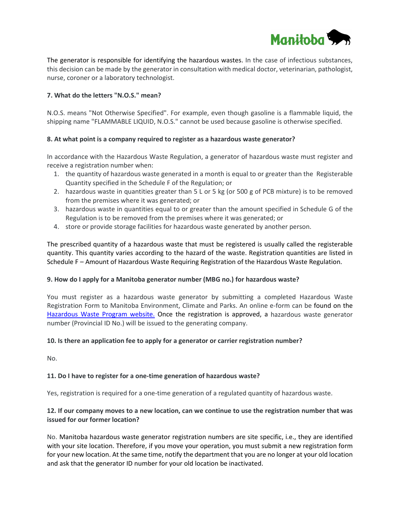

The generator is responsible for identifying the hazardous wastes. In the case of infectious substances, this decision can be made by the generator in consultation with medical doctor, veterinarian, pathologist, nurse, coroner or a laboratory technologist.

## **7. What do the letters "N.O.S." mean?**

N.O.S. means "Not Otherwise Specified". For example, even though gasoline is a flammable liquid, the shipping name "FLAMMABLE LIQUID, N.O.S." cannot be used because gasoline is otherwise specified.

### **8. At what point is a company required to register as a hazardous waste generator?**

In accordance with the Hazardous Waste Regulation, a generator of hazardous waste must register and receive a registration number when:

- 1. the quantity of hazardous waste generated in a month is equal to or greater than the Registerable Quantity specified in the Schedule F of the Regulation; or
- 2. hazardous waste in quantities greater than 5 L or 5 kg (or 500 g of PCB mixture) is to be removed from the premises where it was generated; or
- 3. hazardous waste in quantities equal to or greater than the amount specified in Schedule G of the Regulation is to be removed from the premises where it was generated; or
- 4. store or provide storage facilities for hazardous waste generated by another person.

The prescribed quantity of a hazardous waste that must be registered is usually called the registerable quantity. This quantity varies according to the hazard of the waste. Registration quantities are listed in Schedule F – Amount of Hazardous Waste Requiring Registration of the Hazardous Waste Regulation.

### **9. How do I apply for a Manitoba generator number (MBG no.) for hazardous waste?**

You must register as a hazardous waste generator by submitting a completed Hazardous Waste Registration Form to Manitoba Environment, Climate and Parks. An online e-form can be found on the [Hazardous Waste Program website.](https://uat.manitoba.ca/sd/waste_management/hazardous_waste/wastegenerator.html) Once the registration is approved, a hazardous waste generator number (Provincial ID No.) will be issued to the generating company.

### **10. Is there an application fee to apply for a generator or carrier registration number?**

No.

## **11. Do I have to register for a one-time generation of hazardous waste?**

Yes, registration is required for a one-time generation of a regulated quantity of hazardous waste.

## **12. If our company moves to a new location, can we continue to use the registration number that was issued for our former location?**

No. Manitoba hazardous waste generator registration numbers are site specific, i.e., they are identified with your site location. Therefore, if you move your operation, you must submit a new registration form for your new location. At the same time, notify the department that you are no longer at your old location and ask that the generator ID number for your old location be inactivated.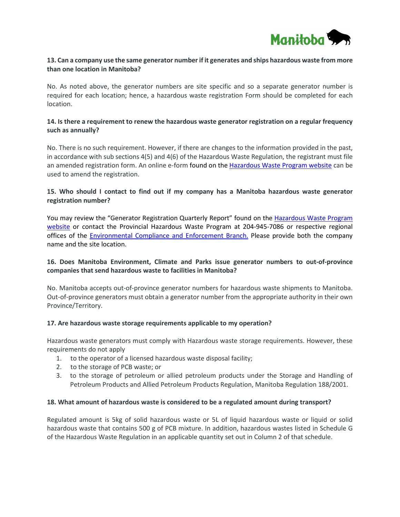

### **13. Can a company use the same generator number if it generates and ships hazardous waste from more than one location in Manitoba?**

No. As noted above, the generator numbers are site specific and so a separate generator number is required for each location; hence, a hazardous waste registration Form should be completed for each location.

### **14. Is there a requirement to renew the hazardous waste generator registration on a regular frequency such as annually?**

No. There is no such requirement. However, if there are changes to the information provided in the past, in accordance with sub sections 4(5) and 4(6) of the Hazardous Waste Regulation, the registrant must file an amended registration form. An online e-form found on the Hazardous Waste Program website can be used to amend the registration.

## **15. Who should I contact to find out if my company has a Manitoba hazardous waste generator registration number?**

You may review the "Generator Registration Quarterly Report" found on the Hazardous Waste Program [website](https://uat.manitoba.ca/sd/waste_management/hazardous_waste/index.html) or contact the Provincial Hazardous Waste Program at 204-945-7086 or respective regional offices of the [Environmental Compliance and Enforcement Branch.](https://uat.manitoba.ca/sd/about/environmental-stewardship/environmental-compliance-and-enforcement/contacts.html) Please provide both the company name and the site location.

## **16. Does Manitoba Environment, Climate and Parks issue generator numbers to out-of-province companies that send hazardous waste to facilities in Manitoba?**

No. Manitoba accepts out-of-province generator numbers for hazardous waste shipments to Manitoba. Out-of-province generators must obtain a generator number from the appropriate authority in their own Province/Territory.

### **17. Are hazardous waste storage requirements applicable to my operation?**

Hazardous waste generators must comply with Hazardous waste storage requirements. However, these requirements do not apply

- 1. to the operator of a licensed hazardous waste disposal facility;
- 2. to the storage of PCB waste; or
- 3. to the storage of petroleum or allied petroleum products under the Storage and Handling of Petroleum Products and Allied Petroleum Products Regulation, Manitoba Regulation 188/2001.

#### **18. What amount of hazardous waste is considered to be a regulated amount during transport?**

Regulated amount is 5kg of solid hazardous waste or 5L of liquid hazardous waste or liquid or solid hazardous waste that contains 500 g of PCB mixture. In addition, hazardous wastes listed in Schedule G of the Hazardous Waste Regulation in an applicable quantity set out in Column 2 of that schedule.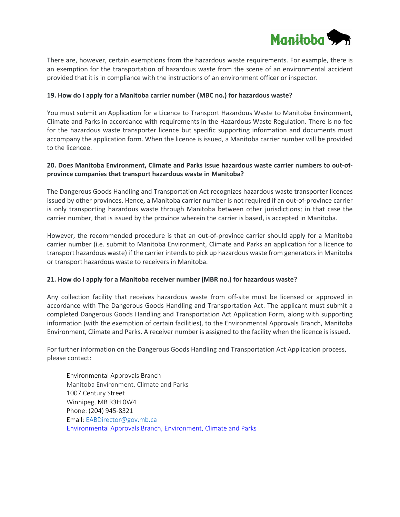

There are, however, certain exemptions from the hazardous waste requirements. For example, there is an exemption for the transportation of hazardous waste from the scene of an environmental accident provided that it is in compliance with the instructions of an environment officer or inspector.

### **19. How do I apply for a Manitoba carrier number (MBC no.) for hazardous waste?**

You must submit an Application for a Licence to Transport Hazardous Waste to Manitoba Environment, Climate and Parks in accordance with requirements in the Hazardous Waste Regulation. There is no fee for the hazardous waste transporter licence but specific supporting information and documents must accompany the application form. When the licence is issued, a Manitoba carrier number will be provided to the licencee.

### **20. Does Manitoba Environment, Climate and Parks issue hazardous waste carrier numbers to out-ofprovince companies that transport hazardous waste in Manitoba?**

The Dangerous Goods Handling and Transportation Act recognizes hazardous waste transporter licences issued by other provinces. Hence, a Manitoba carrier number is not required if an out-of-province carrier is only transporting hazardous waste through Manitoba between other jurisdictions; in that case the carrier number, that is issued by the province wherein the carrier is based, is accepted in Manitoba.

However, the recommended procedure is that an out-of-province carrier should apply for a Manitoba carrier number (i.e. submit to Manitoba Environment, Climate and Parks an application for a licence to transport hazardous waste) if the carrier intends to pick up hazardous waste from generators in Manitoba or transport hazardous waste to receivers in Manitoba.

#### **21. How do I apply for a Manitoba receiver number (MBR no.) for hazardous waste?**

Any collection facility that receives hazardous waste from off-site must be licensed or approved in accordance with The Dangerous Goods Handling and Transportation Act. The applicant must submit a completed Dangerous Goods Handling and Transportation Act Application Form, along with supporting information (with the exemption of certain facilities), to the Environmental Approvals Branch, Manitoba Environment, Climate and Parks. A receiver number is assigned to the facility when the licence is issued.

For further information on the Dangerous Goods Handling and Transportation Act Application process, please contact:

Environmental Approvals Branch Manitoba Environment, Climate and Parks 1007 Century Street Winnipeg, MB R3H 0W4 Phone: (204) 945-8321 Email[: EABDirector@gov.mb.ca](mailto:EABDirector@gov.mb.ca) [Environmental Approvals Branch, Environment, Climate and Parks](https://uat.manitoba.ca/sd/eal/registries/contact.html)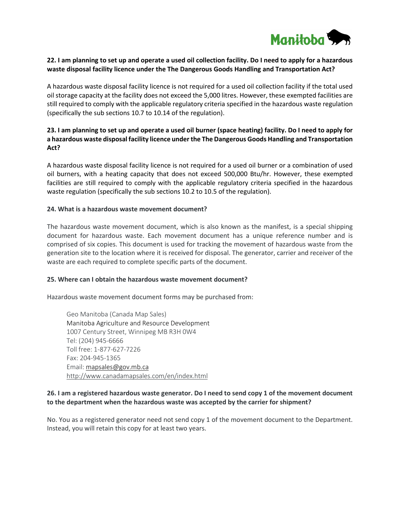

## **22. I am planning to set up and operate a used oil collection facility. Do I need to apply for a hazardous waste disposal facility licence under the The Dangerous Goods Handling and Transportation Act?**

A hazardous waste disposal facility licence is not required for a used oil collection facility if the total used oil storage capacity at the facility does not exceed the 5,000 litres. However, these exempted facilities are still required to comply with the applicable regulatory criteria specified in the hazardous waste regulation (specifically the sub sections 10.7 to 10.14 of the regulation).

## **23. I am planning to set up and operate a used oil burner (space heating) facility. Do I need to apply for a hazardous waste disposal facility licence under the The Dangerous Goods Handling and Transportation Act?**

A hazardous waste disposal facility licence is not required for a used oil burner or a combination of used oil burners, with a heating capacity that does not exceed 500,000 Btu/hr. However, these exempted facilities are still required to comply with the applicable regulatory criteria specified in the hazardous waste regulation (specifically the sub sections 10.2 to 10.5 of the regulation).

### **24. What is a hazardous waste movement document?**

The hazardous waste movement document, which is also known as the manifest, is a special shipping document for hazardous waste. Each movement document has a unique reference number and is comprised of six copies. This document is used for tracking the movement of hazardous waste from the generation site to the location where it is received for disposal. The generator, carrier and receiver of the waste are each required to complete specific parts of the document.

### **25. Where can I obtain the hazardous waste movement document?**

Hazardous waste movement document forms may be purchased from:

Geo Manitoba (Canada Map Sales) Manitoba Agriculture and Resource Development 1007 Century Street, Winnipeg MB R3H 0W4 Tel: (204) 945-6666 Toll free: 1-877-627-7226 Fax: 204-945-1365 Email[: mapsales@gov.mb.ca](mailto:mapsales@gov.mb.ca) <http://www.canadamapsales.com/en/index.html>

## **26. I am a registered hazardous waste generator. Do I need to send copy 1 of the movement document to the department when the hazardous waste was accepted by the carrier for shipment?**

No. You as a registered generator need not send copy 1 of the movement document to the Department. Instead, you will retain this copy for at least two years.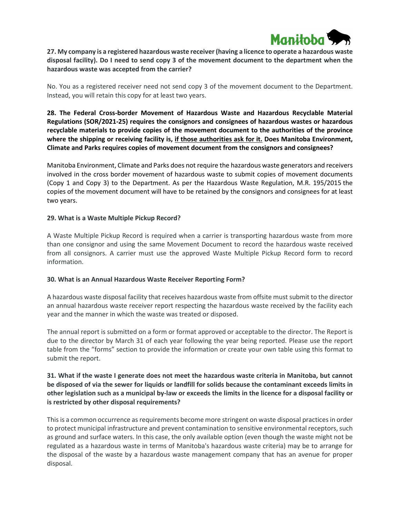

## **27. My company is a registered hazardous waste receiver (having a licence to operate a hazardous waste disposal facility). Do I need to send copy 3 of the movement document to the department when the hazardous waste was accepted from the carrier?**

No. You as a registered receiver need not send copy 3 of the movement document to the Department. Instead, you will retain this copy for at least two years.

**28. The Federal Cross-border Movement of Hazardous Waste and Hazardous Recyclable Material Regulations (SOR/2021-25) requires the consignors and consignees of hazardous wastes or hazardous recyclable materials to provide copies of the movement document to the authorities of the province where the shipping or receiving facility is, if those authorities ask for it. Does Manitoba Environment, Climate and Parks requires copies of movement document from the consignors and consignees?**

Manitoba Environment, Climate and Parks does not require the hazardous waste generators and receivers involved in the cross border movement of hazardous waste to submit copies of movement documents (Copy 1 and Copy 3) to the Department. As per the Hazardous Waste Regulation, M.R. 195/2015 the copies of the movement document will have to be retained by the consignors and consignees for at least two years.

#### **29. What is a Waste Multiple Pickup Record?**

A Waste Multiple Pickup Record is required when a carrier is transporting hazardous waste from more than one consignor and using the same Movement Document to record the hazardous waste received from all consignors. A carrier must use the approved Waste Multiple Pickup Record form to record information.

### **30. What is an Annual Hazardous Waste Receiver Reporting Form?**

A hazardous waste disposal facility that receives hazardous waste from offsite must submit to the director an annual hazardous waste receiver report respecting the hazardous waste received by the facility each year and the manner in which the waste was treated or disposed.

The annual report is submitted on a form or format approved or acceptable to the director. The Report is due to the director by March 31 of each year following the year being reported. Please use the report table from the "forms" section to provide the information or create your own table using this format to submit the report.

## **31. What if the waste I generate does not meet the hazardous waste criteria in Manitoba, but cannot be disposed of via the sewer for liquids or landfill for solids because the contaminant exceeds limits in other legislation such as a municipal by-law or exceeds the limits in the licence for a disposal facility or is restricted by other disposal requirements?**

This is a common occurrence as requirements become more stringent on waste disposal practices in order to protect municipal infrastructure and prevent contamination to sensitive environmental receptors, such as ground and surface waters. In this case, the only available option (even though the waste might not be regulated as a hazardous waste in terms of Manitoba's hazardous waste criteria) may be to arrange for the disposal of the waste by a hazardous waste management company that has an avenue for proper disposal.